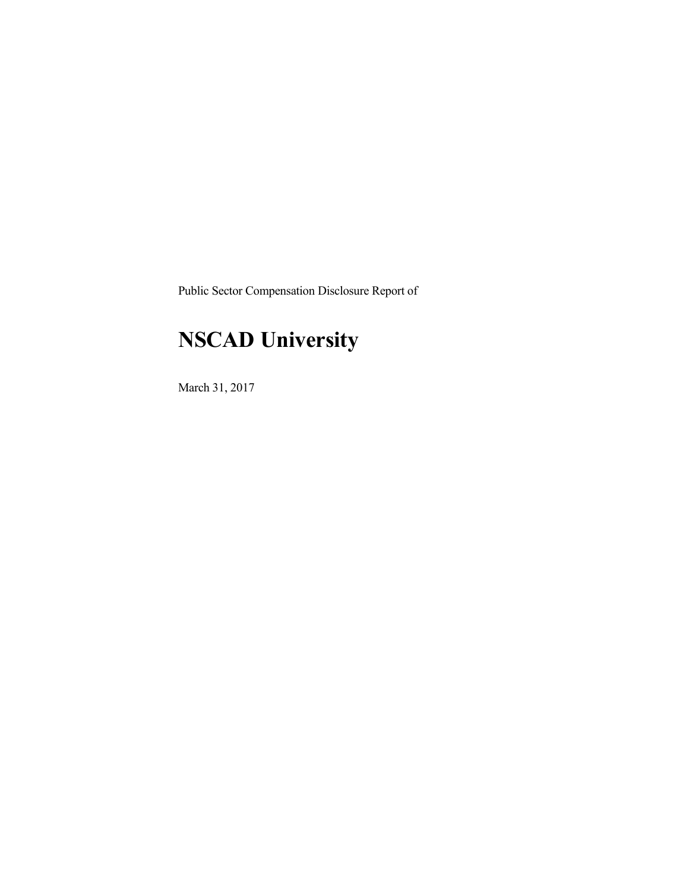Public Sector Compensation Disclosure Report of

## **NSCAD University**

March 31, 2017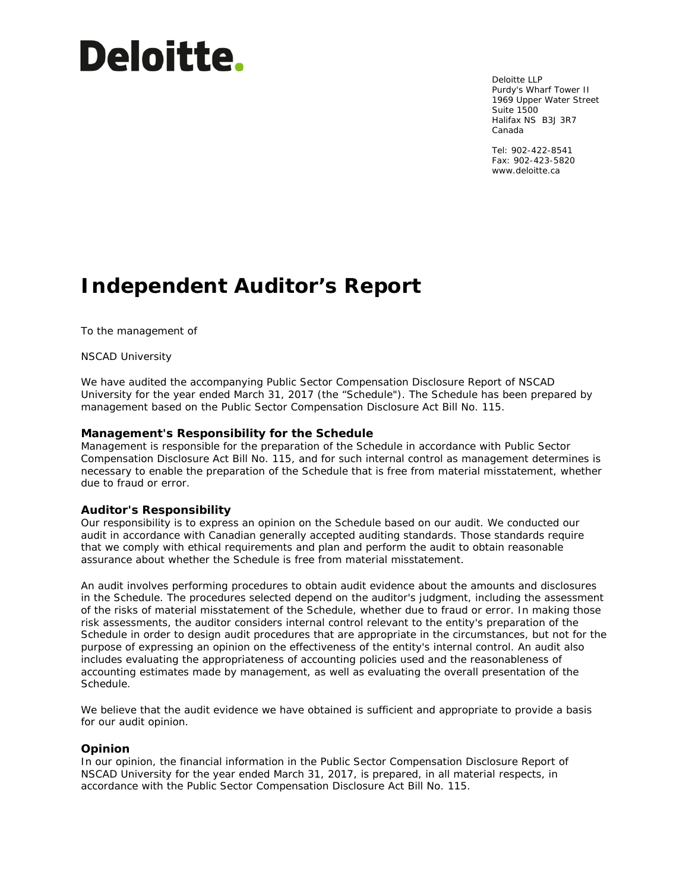# **Deloitte.**

Deloitte LLP Purdy's Wharf Tower II 1969 Upper Water Street Suite 1500 Halifax NS B3J 3R7 Canada

Tel: 902-422-8541 Fax: 902-423-5820 www.deloitte.ca

## **Independent Auditor's Report**

To the management of

NSCAD University

We have audited the accompanying Public Sector Compensation Disclosure Report of NSCAD University for the year ended March 31, 2017 (the "Schedule"). The Schedule has been prepared by management based on the Public Sector Compensation Disclosure Act Bill No. 115.

#### **Management's Responsibility for the Schedule**

Management is responsible for the preparation of the Schedule in accordance with Public Sector Compensation Disclosure Act Bill No. 115, and for such internal control as management determines is necessary to enable the preparation of the Schedule that is free from material misstatement, whether due to fraud or error.

#### **Auditor's Responsibility**

Our responsibility is to express an opinion on the Schedule based on our audit. We conducted our audit in accordance with Canadian generally accepted auditing standards. Those standards require that we comply with ethical requirements and plan and perform the audit to obtain reasonable assurance about whether the Schedule is free from material misstatement.

An audit involves performing procedures to obtain audit evidence about the amounts and disclosures in the Schedule. The procedures selected depend on the auditor's judgment, including the assessment of the risks of material misstatement of the Schedule, whether due to fraud or error. In making those risk assessments, the auditor considers internal control relevant to the entity's preparation of the Schedule in order to design audit procedures that are appropriate in the circumstances, but not for the purpose of expressing an opinion on the effectiveness of the entity's internal control. An audit also includes evaluating the appropriateness of accounting policies used and the reasonableness of accounting estimates made by management, as well as evaluating the overall presentation of the Schedule.

We believe that the audit evidence we have obtained is sufficient and appropriate to provide a basis for our audit opinion.

#### **Opinion**

In our opinion, the financial information in the Public Sector Compensation Disclosure Report of NSCAD University for the year ended March 31, 2017, is prepared, in all material respects, in accordance with the Public Sector Compensation Disclosure Act Bill No. 115.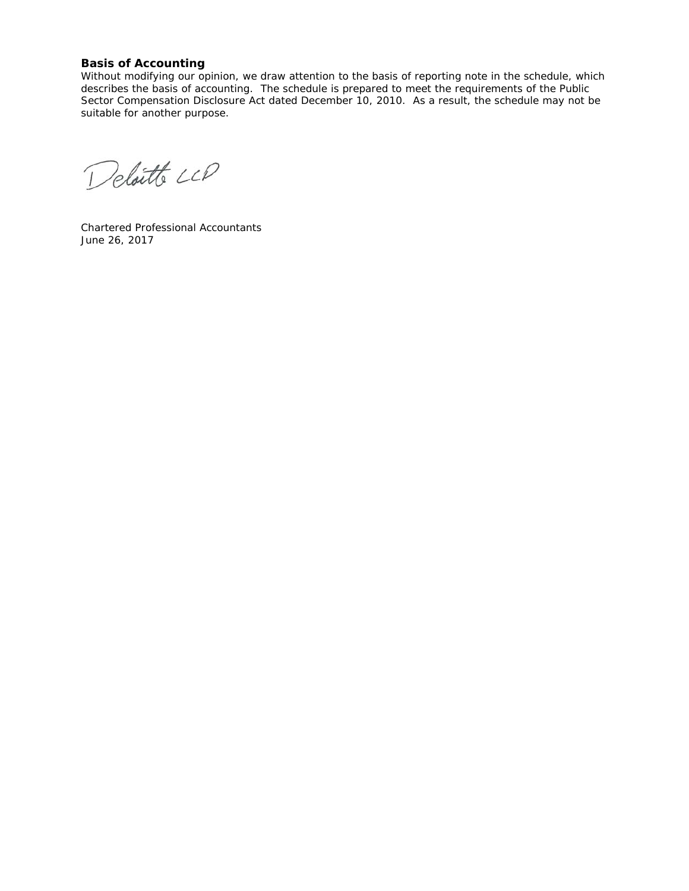#### **Basis of Accounting**

Without modifying our opinion, we draw attention to the basis of reporting note in the schedule, which describes the basis of accounting. The schedule is prepared to meet the requirements of the Public Sector Compensation Disclosure Act dated December 10, 2010. As a result, the schedule may not be suitable for another purpose.

Deloitte LCD

Chartered Professional Accountants June 26, 2017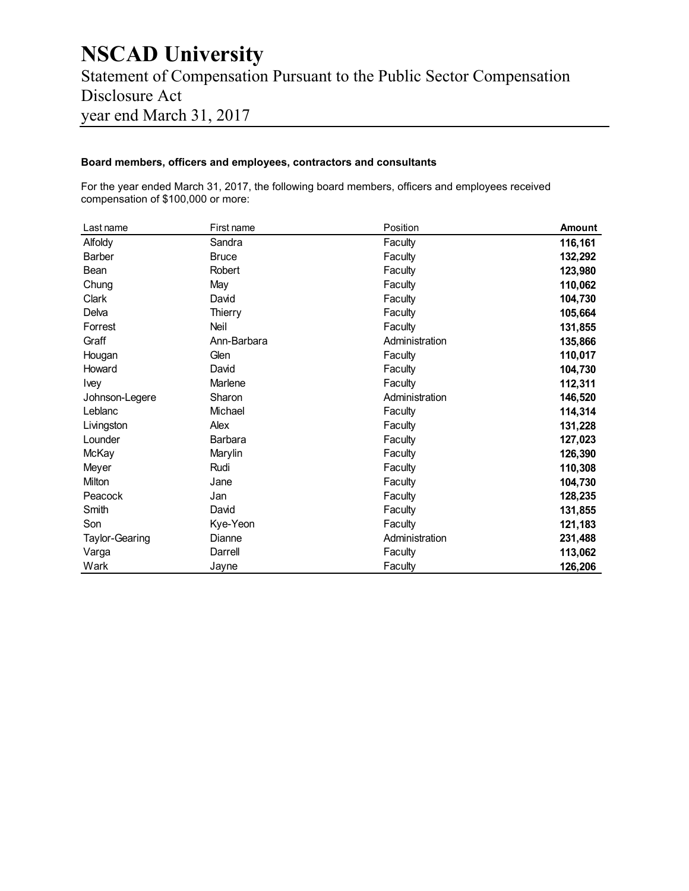### **NSCAD University**  Statement of Compensation Pursuant to the Public Sector Compensation Disclosure Act year end March 31, 2017

#### **Board members, officers and employees, contractors and consultants**

For the year ended March 31, 2017, the following board members, officers and employees received compensation of \$100,000 or more:

| Last name      | First name   | Position       | <b>Amount</b> |
|----------------|--------------|----------------|---------------|
| Alfoldy        | Sandra       | Faculty        | 116,161       |
| Barber         | <b>Bruce</b> | Faculty        | 132,292       |
| Bean           | Robert       | Faculty        | 123,980       |
| Chung          | May          | Faculty        | 110,062       |
| Clark          | David        | Faculty        | 104,730       |
| Delva          | Thierry      | Faculty        | 105,664       |
| Forrest        | Neil         | Faculty        | 131,855       |
| Graff          | Ann-Barbara  | Administration | 135,866       |
| Hougan         | Glen         | Faculty        | 110,017       |
| Howard         | David        | Faculty        | 104,730       |
| Ivey           | Marlene      | Faculty        | 112,311       |
| Johnson-Legere | Sharon       | Administration | 146,520       |
| Leblanc        | Michael      | Faculty        | 114,314       |
| Livingston     | Alex         | Faculty        | 131,228       |
| Lounder        | Barbara      | Faculty        | 127,023       |
| McKay          | Marylin      | Faculty        | 126,390       |
| Meyer          | Rudi         | Faculty        | 110,308       |
| Milton         | Jane         | Faculty        | 104,730       |
| Peacock        | Jan          | Faculty        | 128,235       |
| Smith          | David        | Faculty        | 131,855       |
| Son            | Kye-Yeon     | Faculty        | 121,183       |
| Taylor-Gearing | Dianne       | Administration | 231,488       |
| Varga          | Darrell      | Faculty        | 113,062       |
| Wark           | Jayne        | Faculty        | 126,206       |